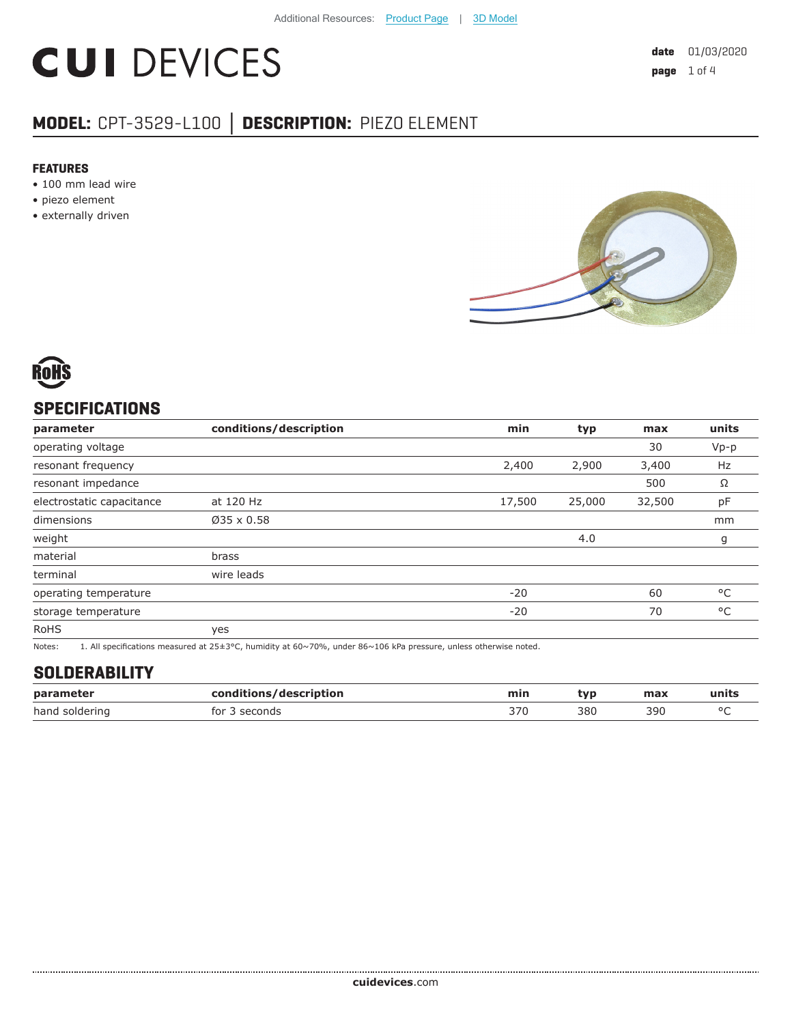# **CUI DEVICES**

# **MODEL:** CPT-3529-L100 **│ DESCRIPTION:** PIEZO ELEMENT

#### **FEATURES**

- 100 mm lead wire
- piezo element
- externally driven





## **SPECIFICATIONS**

| parameter                 | conditions/description | min    | typ    | max    | units  |
|---------------------------|------------------------|--------|--------|--------|--------|
| operating voltage         |                        |        |        | 30     | $Vp-p$ |
| resonant frequency        |                        | 2,400  | 2,900  | 3,400  | Hz     |
| resonant impedance        |                        |        |        | 500    | Ω      |
| electrostatic capacitance | at 120 Hz              | 17,500 | 25,000 | 32,500 | pF     |
| dimensions                | $Ø35 \times 0.58$      |        |        |        | mm     |
| weight                    |                        |        | 4.0    |        | g      |
| material                  | brass                  |        |        |        |        |
| terminal                  | wire leads             |        |        |        |        |
| operating temperature     |                        | $-20$  |        | 60     | °C     |
| storage temperature       |                        | $-20$  |        | 70     | °C     |
| <b>RoHS</b>               | yes                    |        |        |        |        |

Notes: 1. All specifications measured at 25±3°C, humidity at 60~70%, under 86~106 kPa pressure, unless otherwise noted.

## **SOLDERABILITY**

| parameter      | conditions/description | min | tvr | max | ⊡units |
|----------------|------------------------|-----|-----|-----|--------|
| hand soldering | tor<br>seconds         | 37C | 380 | 39C |        |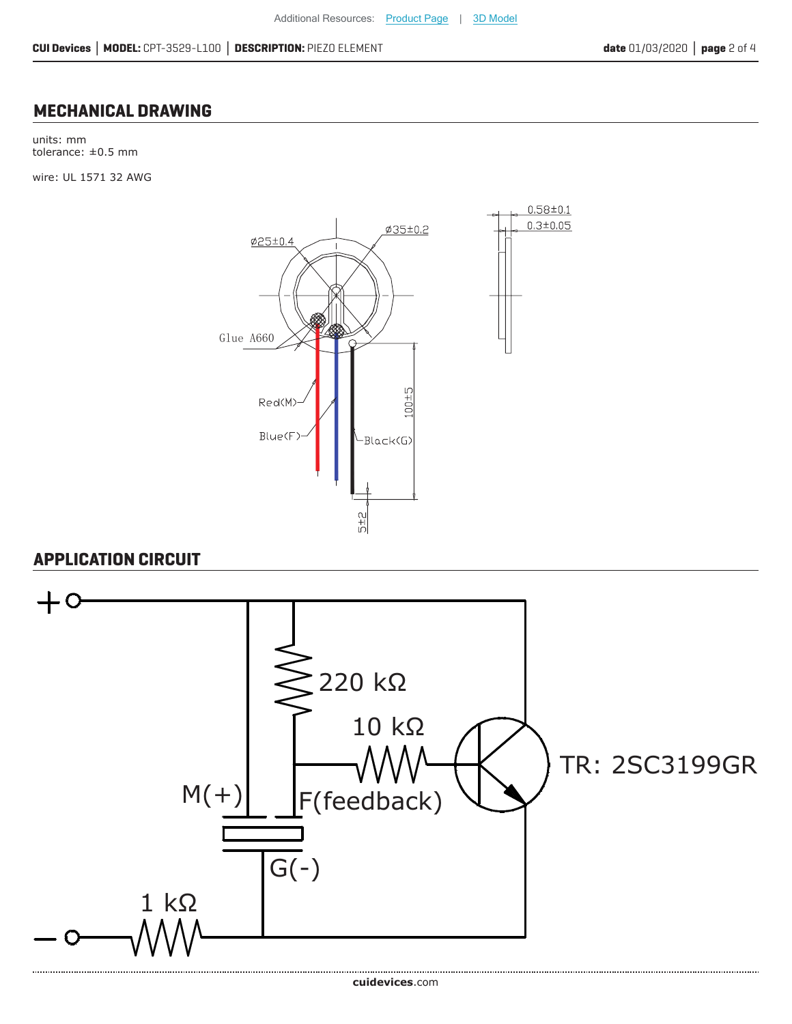### **MECHANICAL DRAWING**

units: mm tolerance: ±0.5 mm

wire: UL 1571 32 AWG



## **APPLICATION CIRCUIT**

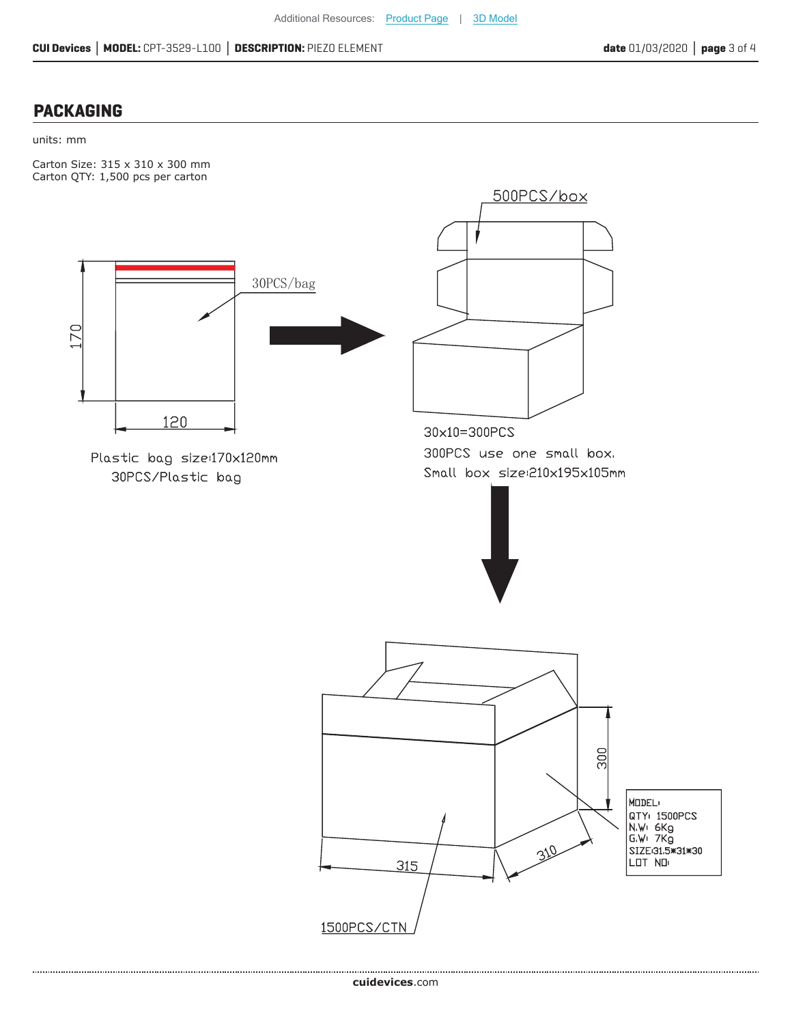### **PACKAGING**

#### units: mm

Carton Size: 315 x 310 x 300 mm Carton QTY: 1,500 pcs per carton